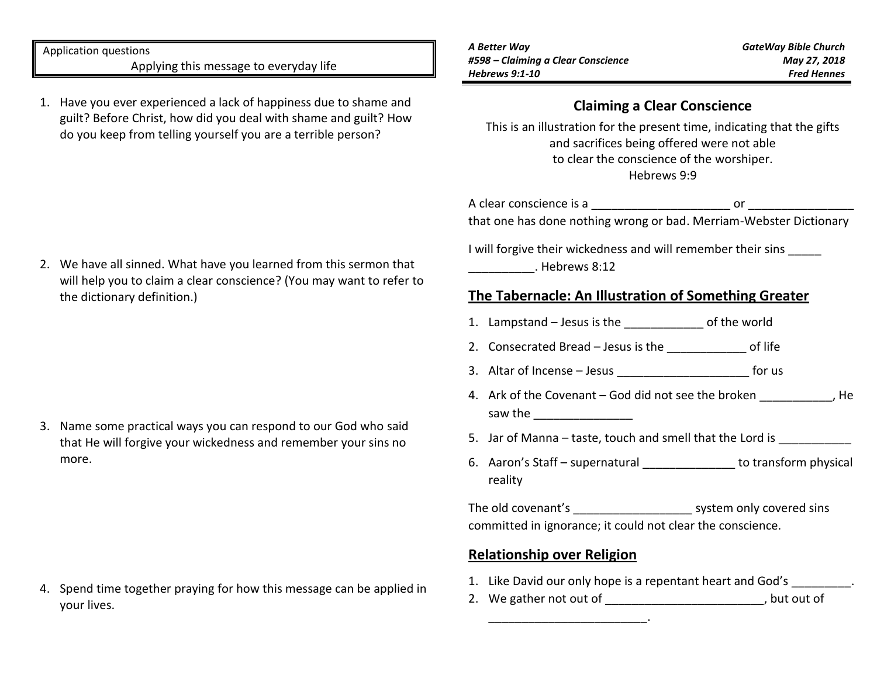Application questions Applying this message to everyday life

1. Have you ever experienced a lack of happiness due to shame and guilt? Before Christ, how did you deal with shame and guilt? How do you keep from telling yourself you are a terrible person?

*A Better Way #598 – Claiming a Clear Conscience Hebrews 9:1-10*

# **Claiming a Clear Conscience**

This is an illustration for the present time, indicating that the gifts and sacrifices being offered were not able to clear the conscience of the worshiper. Hebrews 9:9

A clear conscience is a \_\_\_\_\_\_\_\_\_\_\_\_\_\_\_\_\_\_\_\_\_ or \_\_\_\_\_\_\_\_\_\_\_\_\_\_\_\_ that one has done nothing wrong or bad. Merriam-Webster Dictionary

I will forgive their wickedness and will remember their sins \_\_\_\_\_\_\_\_\_\_. Hebrews 8:12

# **The Tabernacle: An Illustration of Something Greater**

- 1. Lampstand Jesus is the \_\_\_\_\_\_\_\_\_\_\_\_ of the world
- 2. Consecrated Bread Jesus is the different of life
- 3. Altar of Incense Jesus extending the state of the state of the state of the state of the state of the state of the state of the state of the state of the state of the state of the state of the state of the state of th
- 4. Ark of the Covenant God did not see the broken \_\_\_\_\_\_\_\_\_\_, He saw the **contract of the same of the same of the same of the same of the same of the same of the same of the same of the same of the same of the same of the same of the same of the same of the same of the same of the same**
- 5. Jar of Manna taste, touch and smell that the Lord is
- 6. Aaron's Staff supernatural \_\_\_\_\_\_\_\_\_\_\_\_\_\_ to transform physical reality

The old covenant's \_\_\_\_\_\_\_\_\_\_\_\_\_\_\_\_\_\_\_\_\_\_\_ system only covered sins committed in ignorance; it could not clear the conscience.

#### **Relationship over Religion**

\_\_\_\_\_\_\_\_\_\_\_\_\_\_\_\_\_\_\_\_\_\_\_\_.

- 1. Like David our only hope is a repentant heart and God's .
- 2. We gather not out of  $\qquad \qquad$  , but out of

2. We have all sinned. What have you learned from this sermon that will help you to claim a clear conscience? (You may want to refer to the dictionary definition.)

3. Name some practical ways you can respond to our God who said that He will forgive your wickedness and remember your sins no more.

4. Spend time together praying for how this message can be applied in your lives.